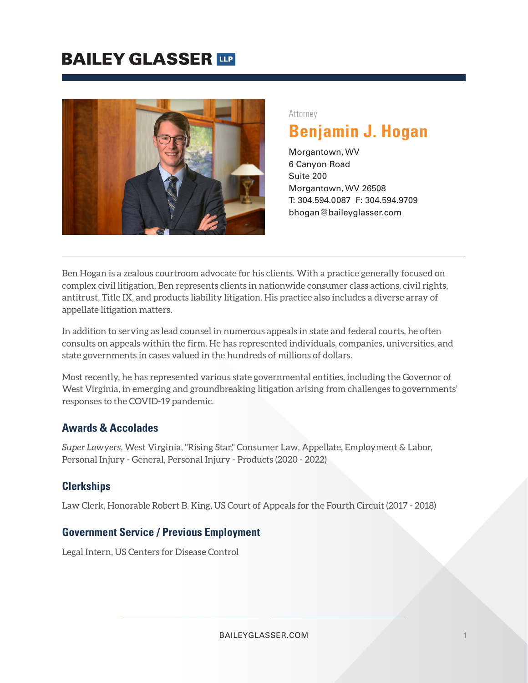

#### Attorney

## **Benjamin J. Hogan**

Morgantown, WV 6 Canyon Road Suite 200 Morgantown, WV 26508 T: 304.594.0087 F: 304.594.9709 bhogan@baileyglasser.com

Ben Hogan is a zealous courtroom advocate for his clients. With a practice generally focused on complex civil litigation, Ben represents clients in nationwide consumer class actions, civil rights, antitrust, Title IX, and products liability litigation. His practice also includes a diverse array of appellate litigation matters.

In addition to serving as lead counsel in numerous appeals in state and federal courts, he often consults on appeals within the firm. He has represented individuals, companies, universities, and state governments in cases valued in the hundreds of millions of dollars.

Most recently, he has represented various state governmental entities, including the Governor of West Virginia, in emerging and groundbreaking litigation arising from challenges to governments' responses to the COVID-19 pandemic.

#### **Awards & Accolades**

*Super Lawyers*, West Virginia, "Rising Star," Consumer Law, Appellate, Employment & Labor, Personal Injury - General, Personal Injury - Products (2020 - 2022)

#### **Clerkships**

Law Clerk, Honorable Robert B. King, US Court of Appeals for the Fourth Circuit (2017 - 2018)

#### **Government Service / Previous Employment**

Legal Intern, US Centers for Disease Control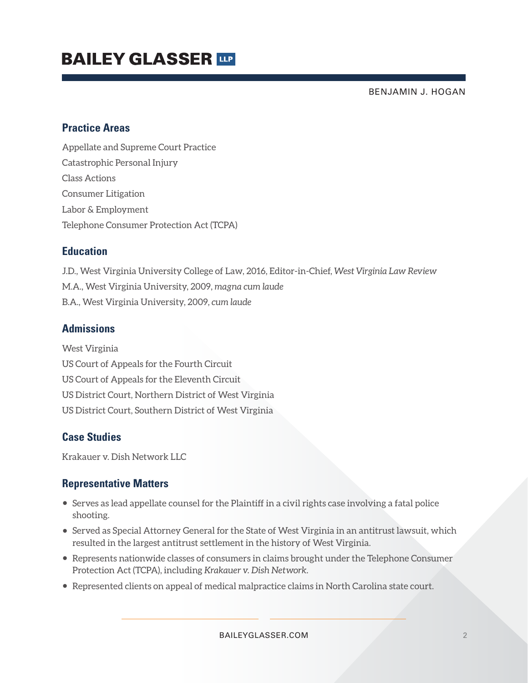BENJAMIN J. HOGAN

#### **Practice Areas**

Appellate and Supreme Court Practice Catastrophic Personal Injury Class Actions Consumer Litigation Labor & Employment Telephone Consumer Protection Act (TCPA)

#### **Education**

J.D., West Virginia University College of Law, 2016, Editor-in-Chief, *West Virginia Law Review* M.A., West Virginia University, 2009, *magna cum laude* B.A., West Virginia University, 2009, *cum laude*

### **Admissions**

West Virginia US Court of Appeals for the Fourth Circuit US Court of Appeals for the Eleventh Circuit US District Court, Northern District of West Virginia US District Court, Southern District of West Virginia

### **Case Studies**

Krakauer v. Dish Network LLC

### **Representative Matters**

- Serves as lead appellate counsel for the Plaintiff in a civil rights case involving a fatal police shooting.
- Served as Special Attorney General for the State of West Virginia in an antitrust lawsuit, which resulted in the largest antitrust settlement in the history of West Virginia.
- Represents nationwide classes of consumers in claims brought under the Telephone Consumer Protection Act (TCPA), including *Krakauer v. Dish Network.*
- Represented clients on appeal of medical malpractice claims in North Carolina state court.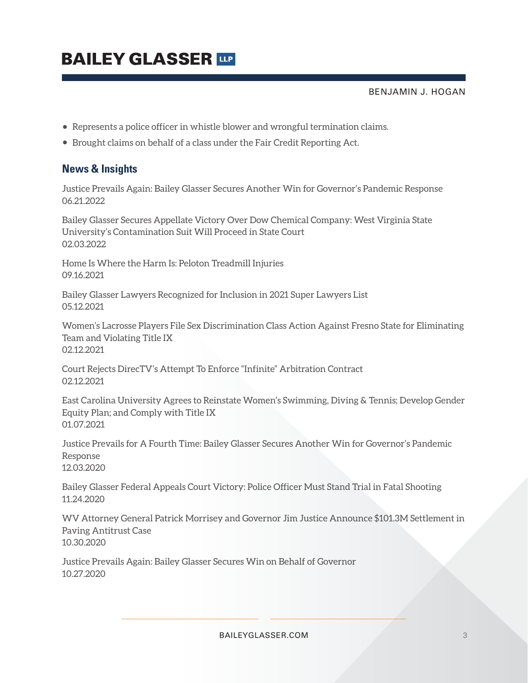BENJAMIN J. HOGAN

- Represents a police officer in whistle blower and wrongful termination claims.
- Brought claims on behalf of a class under the Fair Credit Reporting Act.

#### **News & Insights**

Justice Prevails Again: Bailey Glasser Secures Another Win for Governor's Pandemic Response 06.21.2022

Bailey Glasser Secures Appellate Victory Over Dow Chemical Company: West Virginia State University's Contamination Suit Will Proceed in State Court 02.03.2022

Home Is Where the Harm Is: Peloton Treadmill Injuries 09.16.2021

Bailey Glasser Lawyers Recognized for Inclusion in 2021 Super Lawyers List 05.12.2021

Women's Lacrosse Players File Sex Discrimination Class Action Against Fresno State for Eliminating Team and Violating Title IX 02.12.2021

Court Rejects DirecTV's Attempt To Enforce "Infinite" Arbitration Contract 02.12.2021

East Carolina University Agrees to Reinstate Women's Swimming, Diving & Tennis; Develop Gender Equity Plan; and Comply with Title IX 01.07.2021

Justice Prevails for A Fourth Time: Bailey Glasser Secures Another Win for Governor's Pandemic Response 12.03.2020

Bailey Glasser Federal Appeals Court Victory: Police Officer Must Stand Trial in Fatal Shooting 11.24.2020

WV Attorney General Patrick Morrisey and Governor Jim Justice Announce \$101.3M Settlement in Paving Antitrust Case 10.30.2020

Justice Prevails Again: Bailey Glasser Secures Win on Behalf of Governor 10.27.2020